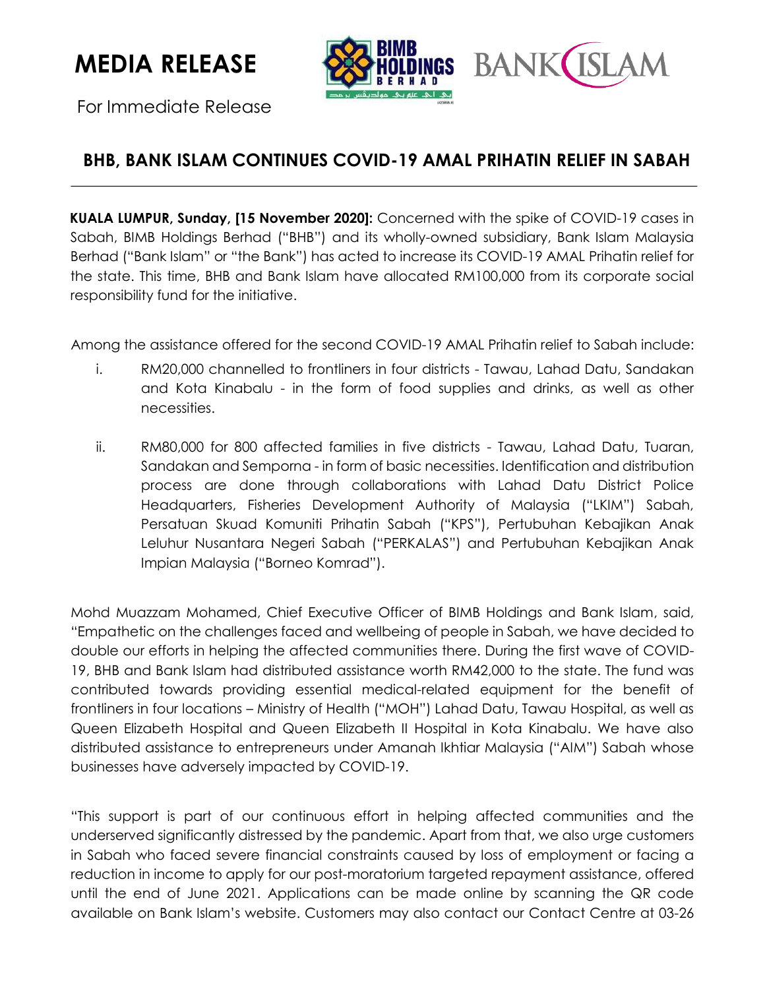**MEDIA RELEASE** 

For Immediate Release



## **BHB, BANK ISLAM CONTINUES COVID-19 AMAL PRIHATIN RELIEF IN SABAH**

**KUALA LUMPUR, Sunday, [15 November 2020]:** Concerned with the spike of COVID-19 cases in Sabah, BIMB Holdings Berhad ("BHB") and its wholly-owned subsidiary, Bank Islam Malaysia Berhad ("Bank Islam" or "the Bank") has acted to increase its COVID-19 AMAL Prihatin relief for the state. This time, BHB and Bank Islam have allocated RM100,000 from its corporate social responsibility fund for the initiative.

Among the assistance offered for the second COVID-19 AMAL Prihatin relief to Sabah include:

- i. RM20,000 channelled to frontliners in four districts Tawau, Lahad Datu, Sandakan and Kota Kinabalu - in the form of food supplies and drinks, as well as other necessities.
- ii. RM80,000 for 800 affected families in five districts Tawau, Lahad Datu, Tuaran, Sandakan and Semporna - in form of basic necessities. Identification and distribution process are done through collaborations with Lahad Datu District Police Headquarters, Fisheries Development Authority of Malaysia ("LKIM") Sabah, Persatuan Skuad Komuniti Prihatin Sabah ("KPS"), Pertubuhan Kebajikan Anak Leluhur Nusantara Negeri Sabah ("PERKALAS") and Pertubuhan Kebajikan Anak Impian Malaysia ("Borneo Komrad").

Mohd Muazzam Mohamed, Chief Executive Officer of BIMB Holdings and Bank Islam, said, "Empathetic on the challenges faced and wellbeing of people in Sabah, we have decided to double our efforts in helping the affected communities there. During the first wave of COVID-19, BHB and Bank Islam had distributed assistance worth RM42,000 to the state. The fund was contributed towards providing essential medical-related equipment for the benefit of frontliners in four locations – Ministry of Health ("MOH") Lahad Datu, Tawau Hospital, as well as Queen Elizabeth Hospital and Queen Elizabeth II Hospital in Kota Kinabalu. We have also distributed assistance to entrepreneurs under Amanah Ikhtiar Malaysia ("AIM") Sabah whose businesses have adversely impacted by COVID-19.

"This support is part of our continuous effort in helping affected communities and the underserved significantly distressed by the pandemic. Apart from that, we also urge customers in Sabah who faced severe financial constraints caused by loss of employment or facing a reduction in income to apply for our post-moratorium targeted repayment assistance, offered until the end of June 2021. Applications can be made online by scanning the QR code available on Bank Islam's website. Customers may also contact our Contact Centre at 03-26